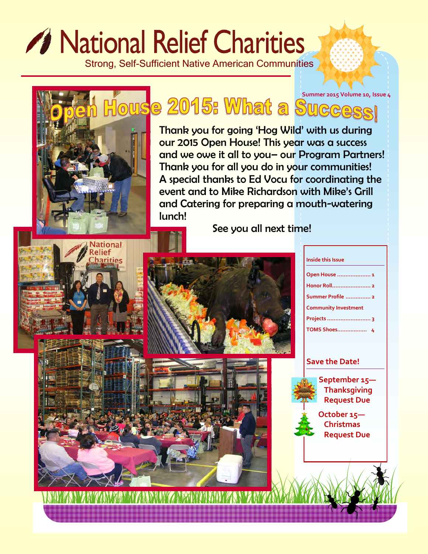# *A* National Relief Charities

Strong, Self-Sufficient Native American Communities

**House 2015: What a Suggessi** Thank you for going 'Hog Wild' with us during our 2015 Open House! This year was a success and we owe it all to you– our Program Partners! Thank you for all you do in your communities! A special thanks to Ed Vocu for coordinating the event and to Mike Richardson with Mike's Grill and Catering for preparing a mouth-watering lunch! See you all next time! **Vational** elief arities **Inside this Issue Open House .................... 1 Honor Roll....................... 2 Summer Profile ............... 2 Community Investment Projects .......................... 3 TOMS Shoes……………… 4 Save the Date! September 15— Thanksgiving Request Due October 15— Christmas Request Due**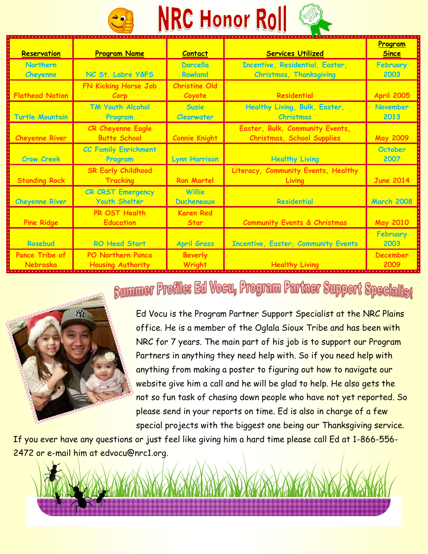

| Reservation                       | <b>Program Name</b>                                  | <b>Contact</b>                    | <b>Services Utilized</b>                                                 | Program<br><b>Since</b> |
|-----------------------------------|------------------------------------------------------|-----------------------------------|--------------------------------------------------------------------------|-------------------------|
| <b>Northern</b><br>Cheyenne       | NC St. Labre Y&FS                                    | <b>Dorcella</b><br><b>Rowland</b> | <b>Incentive, Residential, Easter,</b><br><b>Christmas, Thanksgiving</b> | February<br>2003        |
| <b>Flathead Nation</b>            | FN Kicking Horse Job<br>Corp                         | <b>Christine Old</b><br>Coyote    | Residential                                                              | <b>April 2005</b>       |
| <b>Turtle Mountain</b>            | <b>TM Youth Alcohol</b><br>Program                   | <b>Susie</b><br><b>Clearwater</b> | Healthy Living, Bulk, Easter,<br><b>Christmas</b>                        | <b>November</b><br>2013 |
| <b>Cheyenne River</b>             | <b>CR Cheyenne Eagle</b><br><b>Butte School</b>      | <b>Connie Knight</b>              | Easter, Bulk, Community Events,<br><b>Christmas, School Supplies</b>     | <b>May 2009</b>         |
| <b>Crow Creek</b>                 | <b>CC Family Enrichment</b><br>Program               | <b>Lynn Harrison</b>              | <b>Healthy Living</b>                                                    | <b>October</b><br>2007  |
| <b>Standing Rock</b>              | <b>SR Early Childhood</b><br><b>Tracking</b>         | <b>Ron Martel</b>                 | Literacy, Community Events, Healthy<br>Living                            | <b>June 2014</b>        |
| <b>Cheyenne River</b>             | <b>CR CRST Emergency</b><br><b>Youth Shelter</b>     | Willie<br><b>Ducheneaux</b>       | <b>Residential</b>                                                       | <b>March 2008</b>       |
| <b>Pine Ridge</b>                 | PR OST Health<br><b>Education</b>                    | <b>Karen Red</b><br><b>Star</b>   | <b>Community Events &amp; Christmas</b>                                  | <b>May 2010</b>         |
| Rosebud                           | <b>RO Head Start</b>                                 | <b>April Grass</b>                | <b>Incentive, Easter, Community Events</b>                               | February<br>2003        |
| <b>Ponce Tribe of</b><br>Nebraska | <b>PO Northern Ponca</b><br><b>Housing Authority</b> | <b>Beverly</b><br>Wright          | <b>Healthy Living</b>                                                    | <b>December</b><br>2009 |

### **Summer Profile: Ed Vocu, Program Partner Support Specialist**



Ed Vocu is the Program Partner Support Specialist at the NRC Plains office. He is a member of the Oglala Sioux Tribe and has been with NRC for 7 years. The main part of his job is to support our Program Partners in anything they need help with. So if you need help with anything from making a poster to figuring out how to navigate our website give him a call and he will be glad to help. He also gets the not so fun task of chasing down people who have not yet reported. So please send in your reports on time. Ed is also in charge of a few special projects with the biggest one being our Thanksgiving service.

If you ever have any questions or just feel like giving him a hard time please call Ed at 1-866-556- 2472 or e-mail him at edvocu@nrc1.org.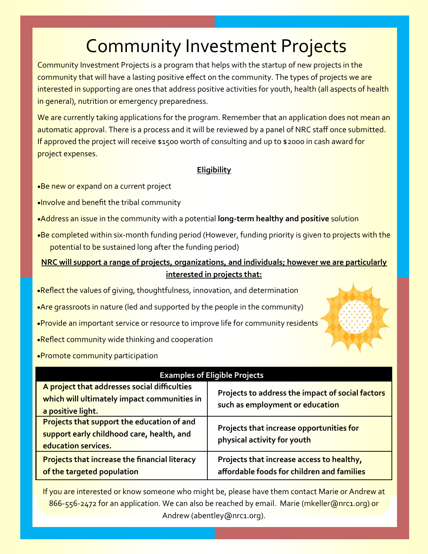# **Community Investment Projects**

Community Investment Projects is a program that helps with the startup of new projects in the community that will have a lasting positive effect on the community. The types of projects we are interested in supporting are ones that address positive activities for youth, health (all aspects of health in general), nutrition or emergency preparedness.

We are currently taking applications for the program. Remember that an application does not mean an automatic approval. There is a process and it will be reviewed by a panel of NRC staff once submitted. If approved the project will receive \$1500 worth of consulting and up to \$2000 in cash award for project expenses.

#### **Eligibility**

- •Be new or expand on a current project
- **Involve and benefit the tribal community**
- Address an issue in the community with a potential **long-term healthy and positive** solution
- .Be completed within six-month funding period (However, funding priority is given to projects with the potential to be sustained long after the funding period)

#### **NRC will support a range of projects, organizations, and individuals; however we are particularly interested in projects that:**

- •Reflect the values of giving, thoughtfulness, innovation, and determination
- Are grassroots in nature (led and supported by the people in the community)
- **•Provide an important service or resource to improve life for community residents**
- **Reflect community wide thinking and cooperation**
- **Promote community participation**

| <b>Examples of Eligible Projects</b>                                                                                  |                                                                                         |  |  |  |
|-----------------------------------------------------------------------------------------------------------------------|-----------------------------------------------------------------------------------------|--|--|--|
| A project that addresses social difficulties<br>which will ultimately impact communities in<br>a positive light.      | Projects to address the impact of social factors<br>such as employment or education     |  |  |  |
| <b>Projects that support the education of and</b><br>support early childhood care, health, and<br>education services. | Projects that increase opportunities for<br>physical activity for youth                 |  |  |  |
| <b>Projects that increase the financial literacy</b><br>of the targeted population                                    | Projects that increase access to healthy,<br>affordable foods for children and families |  |  |  |

If you are interested or know someone who might be, please have them contact Marie or Andrew at 866-556-2472 for an application. We can also be reached by email. Marie (mkeller@nrc1.org) or Andrew (abentley@nrc1.org).